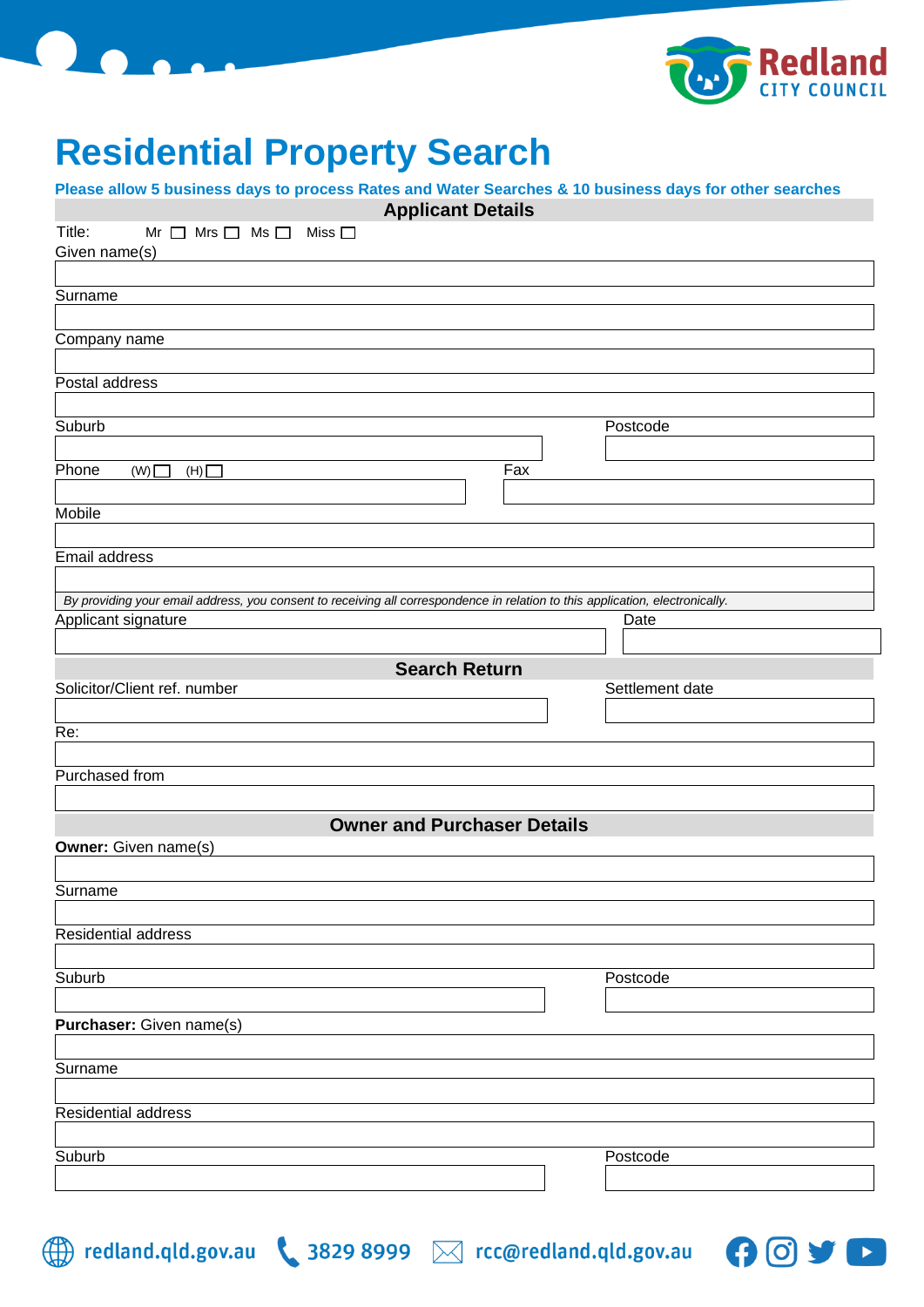



## **Residential Property Search**

**Please allow 5 business days to process Rates and Water Searches & 10 business days for other searches**

| <b>Applicant Details</b>                                                                                                      |                 |  |  |  |  |  |  |
|-------------------------------------------------------------------------------------------------------------------------------|-----------------|--|--|--|--|--|--|
| Title:<br>$Mr \Box Mrs \Box Ms \Box Miss \Box$<br>Given name(s)                                                               |                 |  |  |  |  |  |  |
|                                                                                                                               |                 |  |  |  |  |  |  |
| Surname                                                                                                                       |                 |  |  |  |  |  |  |
| Company name                                                                                                                  |                 |  |  |  |  |  |  |
|                                                                                                                               |                 |  |  |  |  |  |  |
| Postal address                                                                                                                |                 |  |  |  |  |  |  |
|                                                                                                                               |                 |  |  |  |  |  |  |
| Suburb                                                                                                                        | Postcode        |  |  |  |  |  |  |
| Phone<br>Fax<br>(W)<br>(H)                                                                                                    |                 |  |  |  |  |  |  |
|                                                                                                                               |                 |  |  |  |  |  |  |
| <b>Mobile</b>                                                                                                                 |                 |  |  |  |  |  |  |
| Email address                                                                                                                 |                 |  |  |  |  |  |  |
|                                                                                                                               |                 |  |  |  |  |  |  |
| By providing your email address, you consent to receiving all correspondence in relation to this application, electronically. |                 |  |  |  |  |  |  |
| Applicant signature                                                                                                           | Date            |  |  |  |  |  |  |
|                                                                                                                               |                 |  |  |  |  |  |  |
| <b>Search Return</b><br>Solicitor/Client ref. number                                                                          | Settlement date |  |  |  |  |  |  |
|                                                                                                                               |                 |  |  |  |  |  |  |
| Re:                                                                                                                           |                 |  |  |  |  |  |  |
|                                                                                                                               |                 |  |  |  |  |  |  |
| Purchased from                                                                                                                |                 |  |  |  |  |  |  |
|                                                                                                                               |                 |  |  |  |  |  |  |
| <b>Owner and Purchaser Details</b><br><b>Owner:</b> Given name(s)                                                             |                 |  |  |  |  |  |  |
|                                                                                                                               |                 |  |  |  |  |  |  |
| Surname                                                                                                                       |                 |  |  |  |  |  |  |
|                                                                                                                               |                 |  |  |  |  |  |  |
| Residential address                                                                                                           |                 |  |  |  |  |  |  |
| Suburb                                                                                                                        | Postcode        |  |  |  |  |  |  |
|                                                                                                                               |                 |  |  |  |  |  |  |
| Purchaser: Given name(s)                                                                                                      |                 |  |  |  |  |  |  |
|                                                                                                                               |                 |  |  |  |  |  |  |
| Surname                                                                                                                       |                 |  |  |  |  |  |  |
| Residential address                                                                                                           |                 |  |  |  |  |  |  |
|                                                                                                                               |                 |  |  |  |  |  |  |
| Suburb                                                                                                                        | Postcode        |  |  |  |  |  |  |
|                                                                                                                               |                 |  |  |  |  |  |  |
|                                                                                                                               |                 |  |  |  |  |  |  |



 $\mathbf{\Theta}$ 

**D**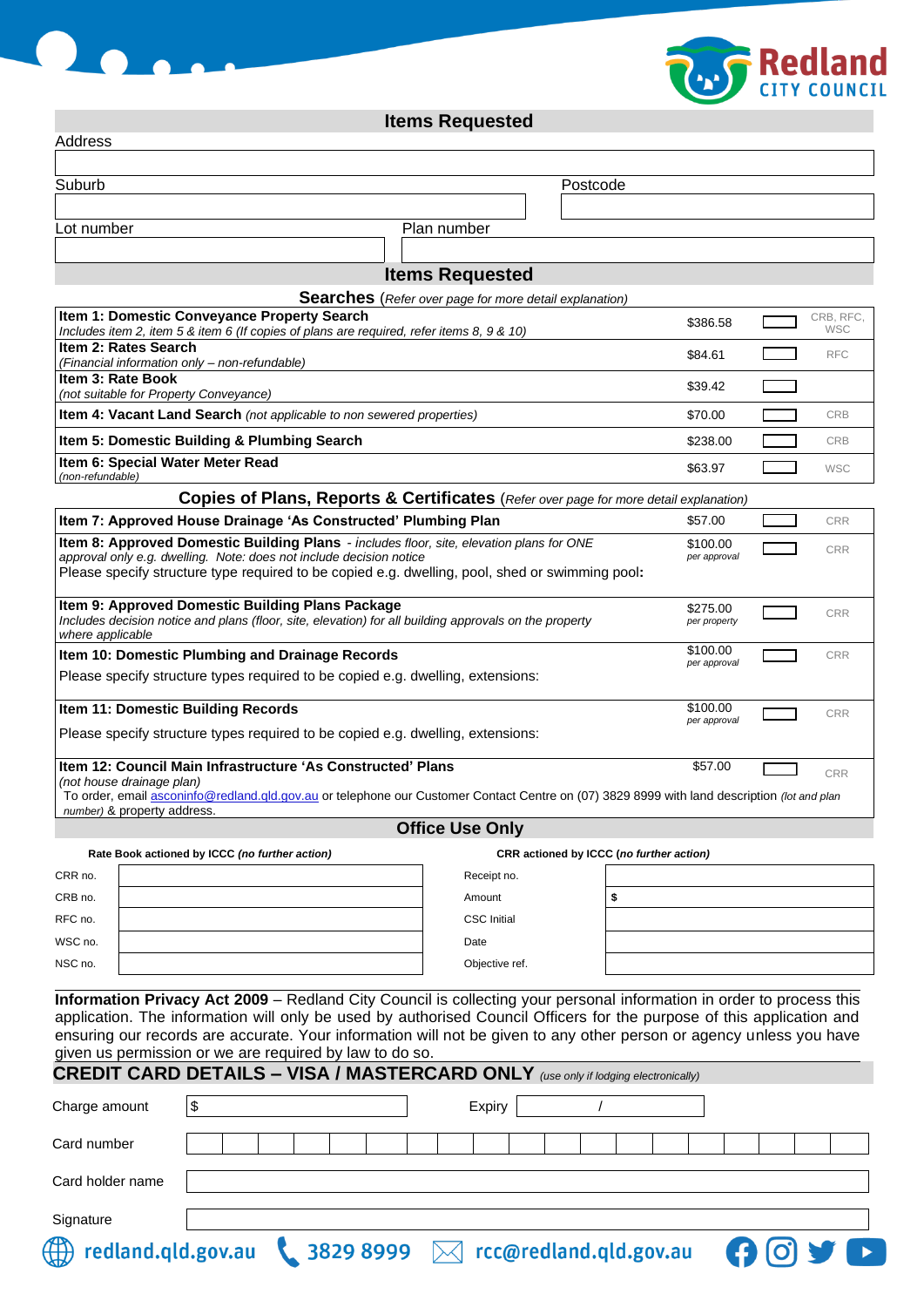

**Items Requested**

| Address                                                                                                                                                                                                                                                            |            |  |  |                                                               |  |             |                        |  |                                          |          |    |                          |  |  |                         |
|--------------------------------------------------------------------------------------------------------------------------------------------------------------------------------------------------------------------------------------------------------------------|------------|--|--|---------------------------------------------------------------|--|-------------|------------------------|--|------------------------------------------|----------|----|--------------------------|--|--|-------------------------|
| Suburb                                                                                                                                                                                                                                                             |            |  |  |                                                               |  |             |                        |  |                                          | Postcode |    |                          |  |  |                         |
|                                                                                                                                                                                                                                                                    |            |  |  |                                                               |  |             |                        |  |                                          |          |    |                          |  |  |                         |
| Lot number                                                                                                                                                                                                                                                         |            |  |  |                                                               |  | Plan number |                        |  |                                          |          |    |                          |  |  |                         |
|                                                                                                                                                                                                                                                                    |            |  |  |                                                               |  |             |                        |  |                                          |          |    |                          |  |  |                         |
| <b>Items Requested</b>                                                                                                                                                                                                                                             |            |  |  |                                                               |  |             |                        |  |                                          |          |    |                          |  |  |                         |
|                                                                                                                                                                                                                                                                    |            |  |  | <b>Searches</b> (Refer over page for more detail explanation) |  |             |                        |  |                                          |          |    |                          |  |  |                         |
| Item 1: Domestic Conveyance Property Search<br>Includes item 2, item 5 & item 6 (If copies of plans are required, refer items 8, 9 & 10)                                                                                                                           |            |  |  |                                                               |  |             |                        |  |                                          |          |    | \$386.58                 |  |  | CRB, RFC,<br><b>WSC</b> |
| Item 2: Rates Search<br>(Financial information only - non-refundable)                                                                                                                                                                                              |            |  |  |                                                               |  |             |                        |  |                                          |          |    | \$84.61                  |  |  | <b>RFC</b>              |
| Item 3: Rate Book                                                                                                                                                                                                                                                  |            |  |  |                                                               |  |             |                        |  |                                          |          |    | \$39.42                  |  |  |                         |
| (not suitable for Property Conveyance)<br>Item 4: Vacant Land Search (not applicable to non sewered properties)                                                                                                                                                    |            |  |  |                                                               |  |             |                        |  |                                          |          |    | \$70.00                  |  |  | <b>CRB</b>              |
| Item 5: Domestic Building & Plumbing Search                                                                                                                                                                                                                        |            |  |  |                                                               |  |             |                        |  |                                          |          |    | \$238.00                 |  |  | <b>CRB</b>              |
| Item 6: Special Water Meter Read                                                                                                                                                                                                                                   |            |  |  |                                                               |  |             |                        |  |                                          |          |    | \$63.97                  |  |  | <b>WSC</b>              |
| (non-refundable)<br>Copies of Plans, Reports & Certificates (Refer over page for more detail explanation)                                                                                                                                                          |            |  |  |                                                               |  |             |                        |  |                                          |          |    |                          |  |  |                         |
| Item 7: Approved House Drainage 'As Constructed' Plumbing Plan                                                                                                                                                                                                     |            |  |  |                                                               |  |             |                        |  |                                          |          |    | \$57.00                  |  |  | <b>CRR</b>              |
|                                                                                                                                                                                                                                                                    |            |  |  |                                                               |  |             |                        |  |                                          |          |    | \$100.00                 |  |  |                         |
| Item 8: Approved Domestic Building Plans - includes floor, site, elevation plans for ONE<br>approval only e.g. dwelling. Note: does not include decision notice<br>Please specify structure type required to be copied e.g. dwelling, pool, shed or swimming pool: |            |  |  | per approval                                                  |  |             | <b>CRR</b>             |  |                                          |          |    |                          |  |  |                         |
|                                                                                                                                                                                                                                                                    |            |  |  |                                                               |  |             |                        |  |                                          |          |    |                          |  |  |                         |
| Item 9: Approved Domestic Building Plans Package<br>Includes decision notice and plans (floor, site, elevation) for all building approvals on the property<br>where applicable                                                                                     |            |  |  | \$275.00<br>per property                                      |  |             | <b>CRR</b>             |  |                                          |          |    |                          |  |  |                         |
| Item 10: Domestic Plumbing and Drainage Records                                                                                                                                                                                                                    |            |  |  |                                                               |  |             |                        |  |                                          |          |    | \$100.00<br>per approval |  |  | <b>CRR</b>              |
| Please specify structure types required to be copied e.g. dwelling, extensions:                                                                                                                                                                                    |            |  |  |                                                               |  |             |                        |  |                                          |          |    |                          |  |  |                         |
| Item 11: Domestic Building Records                                                                                                                                                                                                                                 |            |  |  |                                                               |  | \$100.00    |                        |  | <b>CRR</b>                               |          |    |                          |  |  |                         |
| per approval<br>Please specify structure types required to be copied e.g. dwelling, extensions:                                                                                                                                                                    |            |  |  |                                                               |  |             |                        |  |                                          |          |    |                          |  |  |                         |
| Item 12: Council Main Infrastructure 'As Constructed' Plans                                                                                                                                                                                                        |            |  |  |                                                               |  |             |                        |  |                                          |          |    | \$57.00                  |  |  | <b>CRR</b>              |
| (not house drainage plan)<br>To order, email asconinfo@redland.gld.gov.au or telephone our Customer Contact Centre on (07) 3829 8999 with land description (lot and plan                                                                                           |            |  |  |                                                               |  |             |                        |  |                                          |          |    |                          |  |  |                         |
| number) & property address.                                                                                                                                                                                                                                        |            |  |  |                                                               |  |             | <b>Office Use Only</b> |  |                                          |          |    |                          |  |  |                         |
| Rate Book actioned by ICCC (no further action)                                                                                                                                                                                                                     |            |  |  |                                                               |  |             |                        |  | CRR actioned by ICCC (no further action) |          |    |                          |  |  |                         |
| CRR no.                                                                                                                                                                                                                                                            |            |  |  |                                                               |  |             | Receipt no.            |  |                                          |          |    |                          |  |  |                         |
| CRB no.                                                                                                                                                                                                                                                            |            |  |  |                                                               |  |             | Amount                 |  |                                          |          | \$ |                          |  |  |                         |
| RFC no.                                                                                                                                                                                                                                                            |            |  |  |                                                               |  |             | <b>CSC</b> Initial     |  |                                          |          |    |                          |  |  |                         |
| WSC no.                                                                                                                                                                                                                                                            |            |  |  |                                                               |  |             | Date                   |  |                                          |          |    |                          |  |  |                         |
| NSC no.                                                                                                                                                                                                                                                            |            |  |  |                                                               |  |             | Objective ref.         |  |                                          |          |    |                          |  |  |                         |
|                                                                                                                                                                                                                                                                    |            |  |  |                                                               |  |             |                        |  |                                          |          |    |                          |  |  |                         |
| Information Privacy Act 2009 - Redland City Council is collecting your personal information in order to process this<br>application. The information will only be used by authorised Council Officers for the purpose of this application and                      |            |  |  |                                                               |  |             |                        |  |                                          |          |    |                          |  |  |                         |
| ensuring our records are accurate. Your information will not be given to any other person or agency unless you have                                                                                                                                                |            |  |  |                                                               |  |             |                        |  |                                          |          |    |                          |  |  |                         |
| given us permission or we are required by law to do so.                                                                                                                                                                                                            |            |  |  |                                                               |  |             |                        |  |                                          |          |    |                          |  |  |                         |
| <b>CREDIT CARD DETAILS - VISA / MASTERCARD ONLY</b> (use only if lodging electronically)                                                                                                                                                                           |            |  |  |                                                               |  |             |                        |  |                                          |          |    |                          |  |  |                         |
| Charge amount                                                                                                                                                                                                                                                      | $\sqrt{3}$ |  |  |                                                               |  |             | Expiry                 |  |                                          |          |    |                          |  |  |                         |
| Card number                                                                                                                                                                                                                                                        |            |  |  |                                                               |  |             |                        |  |                                          |          |    |                          |  |  |                         |
|                                                                                                                                                                                                                                                                    |            |  |  |                                                               |  |             |                        |  |                                          |          |    |                          |  |  |                         |
| Card holder name                                                                                                                                                                                                                                                   |            |  |  |                                                               |  |             |                        |  |                                          |          |    |                          |  |  |                         |
|                                                                                                                                                                                                                                                                    |            |  |  |                                                               |  |             |                        |  |                                          |          |    |                          |  |  |                         |

 $\blacktriangleright$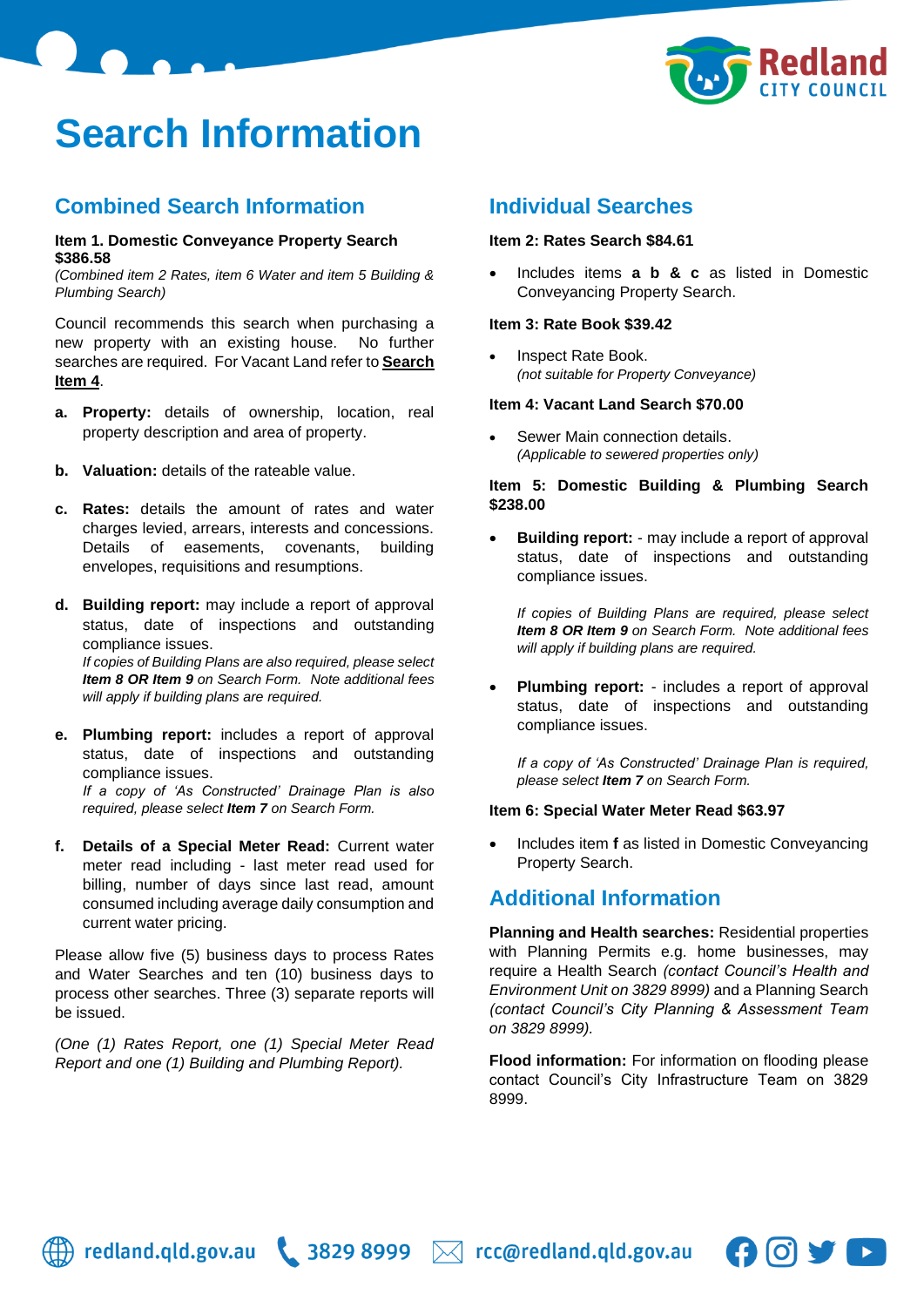

# **Search Information**

### **Combined Search Information**

#### **Item 1. Domestic Conveyance Property Search \$386.58**

*(Combined item 2 Rates, item 6 Water and item 5 Building & Plumbing Search)*

Council recommends this search when purchasing a new property with an existing house. No further searches are required. For Vacant Land refer to **Search Item 4**.

- **a. Property:** details of ownership, location, real property description and area of property.
- **b. Valuation:** details of the rateable value.
- **c. Rates:** details the amount of rates and water charges levied, arrears, interests and concessions. Details of easements, covenants, building envelopes, requisitions and resumptions.
- **d. Building report:** may include a report of approval status, date of inspections and outstanding compliance issues. *If copies of Building Plans are also required, please select Item 8 OR Item 9 on Search Form. Note additional fees will apply if building plans are required.*
- **e. Plumbing report:** includes a report of approval status, date of inspections and outstanding compliance issues. *If a copy of 'As Constructed' Drainage Plan is also required, please select Item 7 on Search Form.*
- **f. Details of a Special Meter Read:** Current water meter read including - last meter read used for billing, number of days since last read, amount consumed including average daily consumption and current water pricing.

Please allow five (5) business days to process Rates and Water Searches and ten (10) business days to process other searches. Three (3) separate reports will be issued.

*(One (1) Rates Report, one (1) Special Meter Read Report and one (1) Building and Plumbing Report).*

### **Individual Searches**

### **Item 2: Rates Search \$84.61**

• Includes items **a b & c** as listed in Domestic Conveyancing Property Search.

### **Item 3: Rate Book \$39.42**

• Inspect Rate Book. *(not suitable for Property Conveyance)*

### **Item 4: Vacant Land Search \$70.00**

Sewer Main connection details. *(Applicable to sewered properties only)*

### **Item 5: Domestic Building & Plumbing Search \$238.00**

• **Building report:** - may include a report of approval status, date of inspections and outstanding compliance issues.

*If copies of Building Plans are required, please select Item 8 OR Item 9 on Search Form. Note additional fees will apply if building plans are required.*

• **Plumbing report:** - includes a report of approval status, date of inspections and outstanding compliance issues.

*If a copy of 'As Constructed' Drainage Plan is required, please select Item 7 on Search Form.*

#### **Item 6: Special Water Meter Read \$63.97**

• Includes item **f** as listed in Domestic Conveyancing Property Search.

### **Additional Information**

**Planning and Health searches:** Residential properties with Planning Permits e.g. home businesses, may require a Health Search *(contact Council's Health and Environment Unit on 3829 8999)* and a Planning Search *(contact Council's City Planning & Assessment Team on 3829 8999).*

**Flood information:** For information on flooding please contact Council's City Infrastructure Team on 3829 8999.